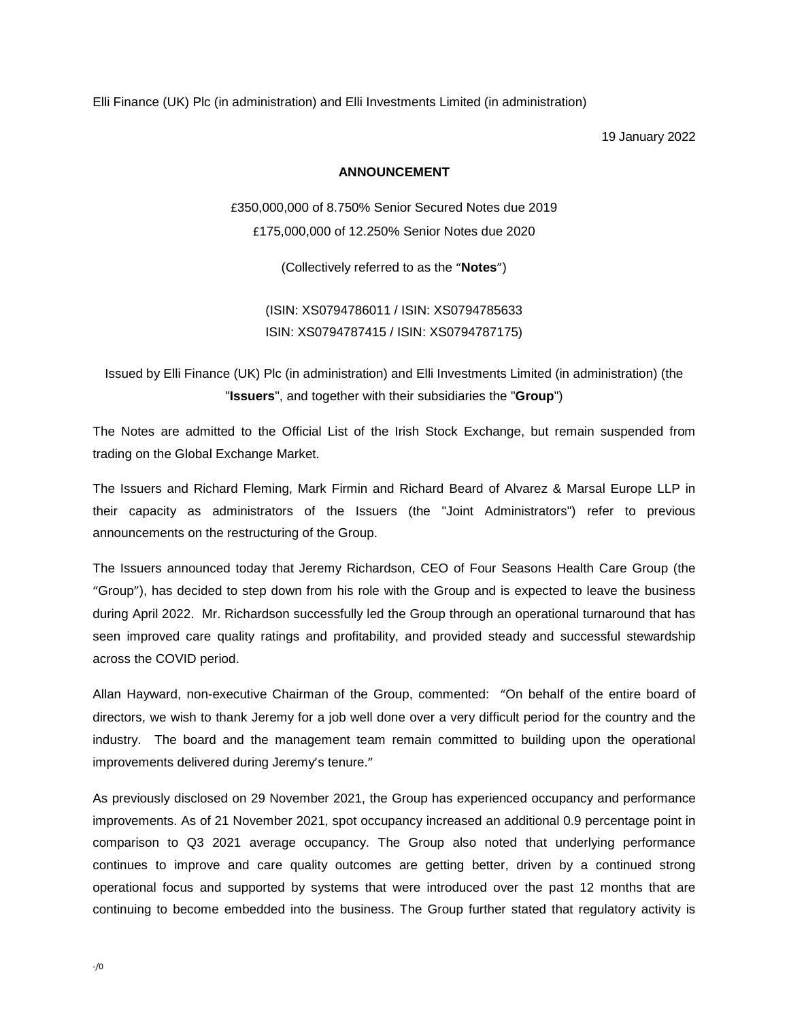Elli Finance (UK) Plc (in administration) and Elli Investments Limited (in administration)

19 January 2022

## **ANNOUNCEMENT**

£350,000,000 of 8.750% Senior Secured Notes due 2019 £175,000,000 of 12.250% Senior Notes due 2020

(Collectively referred to as the "**Notes**")

(ISIN: XS0794786011 / ISIN: XS0794785633 ISIN: XS0794787415 / ISIN: XS0794787175)

Issued by Elli Finance (UK) Plc (in administration) and Elli Investments Limited (in administration) (the "**Issuers**", and together with their subsidiaries the "**Group**")

The Notes are admitted to the Official List of the Irish Stock Exchange, but remain suspended from trading on the Global Exchange Market.

The Issuers and Richard Fleming, Mark Firmin and Richard Beard of Alvarez & Marsal Europe LLP in their capacity as administrators of the Issuers (the "Joint Administrators") refer to previous announcements on the restructuring of the Group.

The Issuers announced today that Jeremy Richardson, CEO of Four Seasons Health Care Group (the "Group"), has decided to step down from his role with the Group and is expected to leave the business during April 2022. Mr. Richardson successfully led the Group through an operational turnaround that has seen improved care quality ratings and profitability, and provided steady and successful stewardship across the COVID period.

Allan Hayward, non-executive Chairman of the Group, commented: "On behalf of the entire board of directors, we wish to thank Jeremy for a job well done over a very difficult period for the country and the industry. The board and the management team remain committed to building upon the operational improvements delivered during Jeremy's tenure."

As previously disclosed on 29 November 2021, the Group has experienced occupancy and performance improvements. As of 21 November 2021, spot occupancy increased an additional 0.9 percentage point in comparison to Q3 2021 average occupancy. The Group also noted that underlying performance continues to improve and care quality outcomes are getting better, driven by a continued strong operational focus and supported by systems that were introduced over the past 12 months that are continuing to become embedded into the business. The Group further stated that regulatory activity is